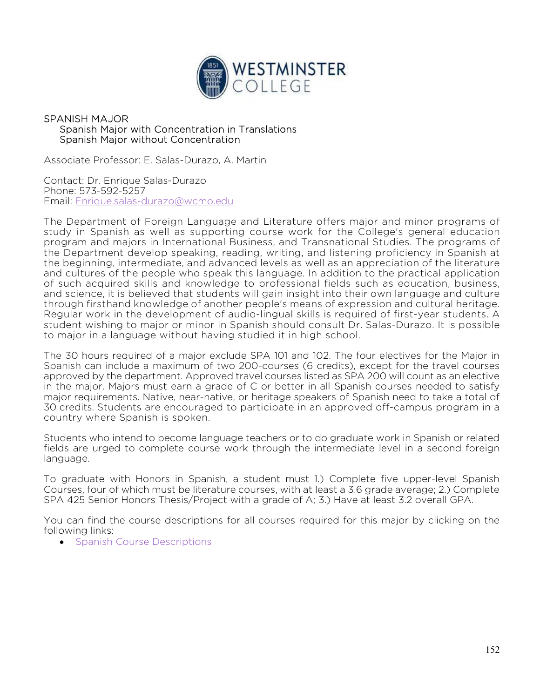

## SPANISH MAJOR Spanish Major with Concentration in Translations Spanish Major without Concentration

Associate Professor: E. Salas-Durazo, A. Martin

Contact: Dr. Enrique Salas-Durazo Phone: 573-592-5257 Email: Enrique.salas-durazo@wcmo.edu

The Department of Foreign Language and Literature offers major and minor programs of study in Spanish as well as supporting course work for the College's general education program and majors in International Business, and Transnational Studies. The programs of the Department develop speaking, reading, writing, and listening proficiency in Spanish at the beginning, intermediate, and advanced levels as well as an appreciation of the literature and cultures of the people who speak this language. In addition to the practical application of such acquired skills and knowledge to professional fields such as education, business, and science, it is believed that students will gain insight into their own language and culture through firsthand knowledge of another people's means of expression and cultural heritage. Regular work in the development of audio-lingual skills is required of first-year students. A student wishing to major or minor in Spanish should consult Dr. Salas-Durazo. It is possible to major in a language without having studied it in high school.

The 30 hours required of a major exclude SPA 101 and 102. The four electives for the Major in Spanish can include a maximum of two 200-courses (6 credits), except for the travel courses approved by the department. Approved travel courses listed as SPA 200 will count as an elective in the major. Majors must earn a grade of C or better in all Spanish courses needed to satisfy major requirements. Native, near-native, or heritage speakers of Spanish need to take a total of 30 credits. Students are encouraged to participate in an approved off-campus program in a country where Spanish is spoken.

Students who intend to become language teachers or to do graduate work in Spanish or related fields are urged to complete course work through the intermediate level in a second foreign language.

To graduate with Honors in Spanish, a student must 1.) Complete five upper-level Spanish Courses, four of which must be literature courses, with at least a 3.6 grade average; 2.) Complete SPA 425 Senior Honors Thesis/Project with a grade of A; 3.) Have at least 3.2 overall GPA.

You can find the course descriptions for all courses required for this major by clicking on the following links:

• Spanish Course Descriptions